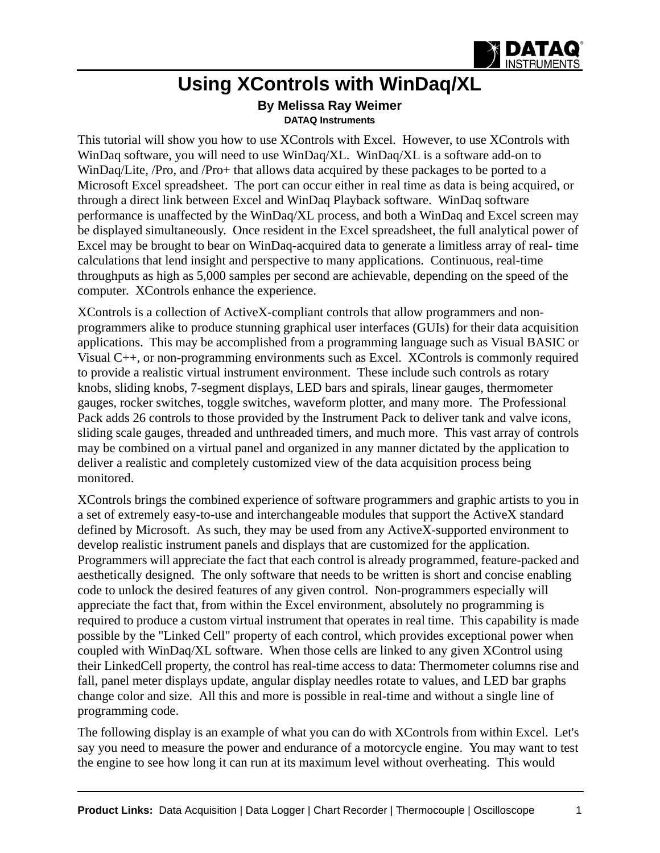

## **Using XControls with WinDaq/XL**

**By Melissa Ray Weimer [DATAQ Instruments](http://www.dataq.com)**

This tutorial will show you how to use XControls with Excel. However, to use XControls with WinDaq software, you will need to use WinDaq/XL. WinDaq/XL is a software add-on to WinDaq/Lite, /Pro, and /Pro+ that allows data acquired by these packages to be ported to a Microsoft Excel spreadsheet. The port can occur either in real time as data is being acquired, or through a direct link between Excel and WinDaq Playback software. WinDaq software performance is unaffected by the WinDaq/XL process, and both a WinDaq and Excel screen may be displayed simultaneously. Once resident in the Excel spreadsheet, the full analytical power of Excel may be brought to bear on WinDaq-acquired data to generate a limitless array of real- time calculations that lend insight and perspective to many applications. Continuous, real-time throughputs as high as 5,000 samples per second are achievable, depending on the speed of the computer. XControls enhance the experience.

XControls is a collection of ActiveX-compliant controls that allow programmers and nonprogrammers alike to produce stunning graphical user interfaces (GUIs) for their data acquisition applications. This may be accomplished from a programming language such as Visual BASIC or Visual C++, or non-programming environments such as Excel. XControls is commonly required to provide a realistic virtual instrument environment. These include such controls as rotary knobs, sliding knobs, 7-segment displays, LED bars and spirals, linear gauges, thermometer gauges, rocker switches, toggle switches, waveform plotter, and many more. The Professional Pack adds 26 controls to those provided by the Instrument Pack to deliver tank and valve icons, sliding scale gauges, threaded and unthreaded timers, and much more. This vast array of controls may be combined on a virtual panel and organized in any manner dictated by the application to deliver a realistic and completely customized view of the data acquisition process being monitored.

XControls brings the combined experience of software programmers and graphic artists to you in a set of extremely easy-to-use and interchangeable modules that support the ActiveX standard defined by Microsoft. As such, they may be used from any ActiveX-supported environment to develop realistic instrument panels and displays that are customized for the application. Programmers will appreciate the fact that each control is already programmed, feature-packed and aesthetically designed. The only software that needs to be written is short and concise enabling code to unlock the desired features of any given control. Non-programmers especially will appreciate the fact that, from within the Excel environment, absolutely no programming is required to produce a custom virtual instrument that operates in real time. This capability is made possible by the "Linked Cell" property of each control, which provides exceptional power when coupled with WinDaq/XL software. When those cells are linked to any given XControl using their LinkedCell property, the control has real-time access to data: Thermometer columns rise and fall, panel meter displays update, angular display needles rotate to values, and LED bar graphs change color and size. All this and more is possible in real-time and without a single line of programming code.

The following display is an example of what you can do with XControls from within Excel. Let's say you need to measure the power and endurance of a motorcycle engine. You may want to test the engine to see how long it can run at its maximum level without overheating. This would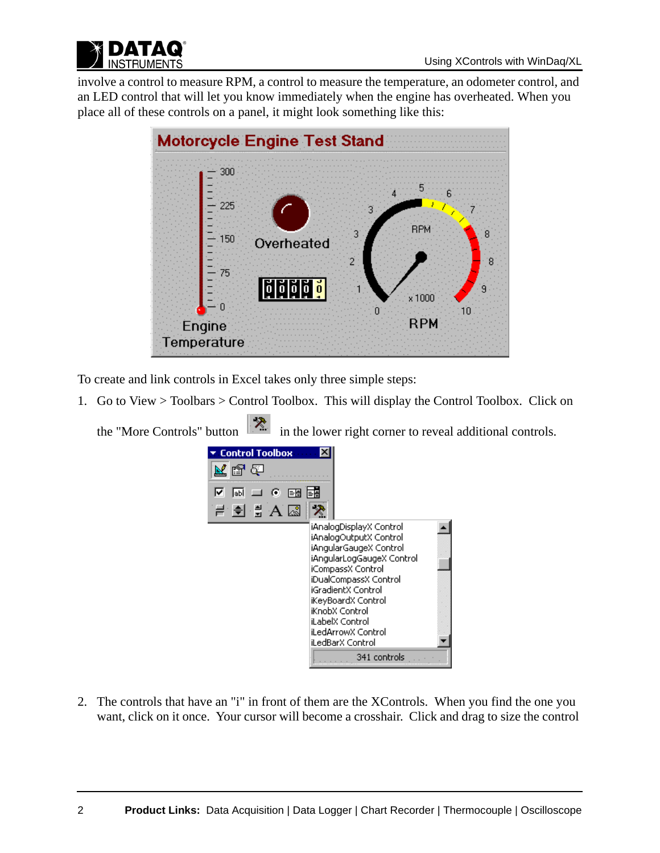



involve a control to measure RPM, a control to measure the temperature, an odometer control, and an LED control that will let you know immediately when the engine has overheated. When you place all of these controls on a panel, it might look something like this:



To create and link controls in Excel takes only three simple steps:

1. Go to View > Toolbars > Control Toolbox. This will display the Control Toolbox. Click on

the "More Controls" button  $\mathbb{R}^n$  in the lower right corner to reveal additional controls.



2. The controls that have an "i" in front of them are the XControls. When you find the one you want, click on it once. Your cursor will become a crosshair. Click and drag to size the control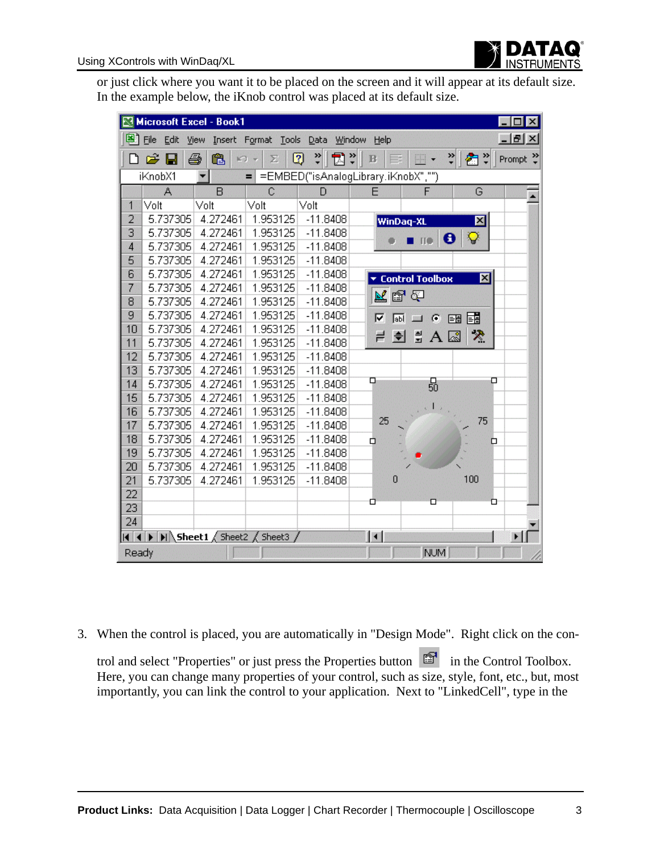

or just click where you want it to be placed on the screen and it will appear at its default size. In the example below, the iKnob control was placed at its default size.

|                | Microsoft Excel - Book1                                    |          |                     |              |                     |                                         |                         | $\Box$ $\times$       |
|----------------|------------------------------------------------------------|----------|---------------------|--------------|---------------------|-----------------------------------------|-------------------------|-----------------------|
|                | 图 File<br>Edit                                             | View     | Insert Format Tools | Data         | Window<br>Help      |                                         |                         | $ B$ $\times$         |
|                | c H                                                        | q<br>ê,  | Σ<br>$\mathbb{C}$ + | ÷<br>司:<br>Q | $\mathbf{B}$        | $\mathbb{R}$ .                          | ᠉∥<br>@ *               | Prompt $\frac{35}{7}$ |
|                | =EMBED("isAnalogLibrary.iKnobX","")<br>iKnobX1<br>$=$<br>▼ |          |                     |              |                     |                                         |                         |                       |
|                | A                                                          | B        | $\mathbf C$         | D            | E                   | F                                       | G                       |                       |
| 1              | Volt                                                       | Volt     | Volt                | Volt         |                     |                                         |                         |                       |
| $\overline{2}$ | 5.737305                                                   | 4.272461 | 1.953125            | $-11.8408$   | WinDaq-XL           |                                         | $\mathbf{\overline{X}}$ |                       |
| 3              | 5.737305                                                   | 4.272461 | 1.953125            | $-11.8408$   |                     |                                         |                         |                       |
| $\overline{4}$ | 5.737305                                                   | 4.272461 | 1.953125            | $-11.8408$   |                     | <b>IIO</b>                              | $\bullet$<br>ଢ          |                       |
| 5              | 5.737305                                                   | 4.272461 | 1.953125            | $-11.8408$   |                     |                                         |                         |                       |
| 6              | 5.737305                                                   | 4.272461 | 1.953125            | $-11.8408$   |                     | <b>v</b> Control Toolbox                | ⊠                       |                       |
| 7              | 5.737305                                                   | 4.272461 | 1.953125            | $-11.8408$   |                     |                                         |                         |                       |
| 8              | 5.737305                                                   | 4.272461 | 1.953125            | $-11.8408$   | 医鼻齿                 |                                         |                         |                       |
| 9              | 5.737305                                                   | 4.272461 | 1.953125            | $-11.8408$   | ⊽<br>阿              | $\bullet$<br>$\blacksquare$             | 噩醒                      |                       |
| 10             | 5.737305                                                   | 4.272461 | 1.953125            | $-11.8408$   |                     |                                         |                         |                       |
| 11             | 5.737305                                                   | 4.272461 | 1.953125            | $-11.8408$   | $\bigoplus$<br>큰    | $\frac{4}{3}$ A $\overline{\mathbb{R}}$ | $\mathcal{L}$           |                       |
| 12             | 5.737305                                                   | 4.272461 | 1.953125            | $-11.8408$   |                     |                                         |                         |                       |
| 13             | 5.737305                                                   | 4.272461 | 1.953125            | $-11.8408$   |                     |                                         |                         |                       |
| 14             | 5.737305                                                   | 4.272461 | 1.953125            | $-11.8408$   | Q                   | 50                                      | □                       |                       |
| 15             | 5.737305                                                   | 4.272461 | 1.953125            | $-11.8408$   |                     |                                         |                         |                       |
| 16             | 5.737305                                                   | 4.272461 | 1.953125            | $-11.8408$   |                     |                                         |                         |                       |
| 17             | 5.737305                                                   | 4.272461 | 1.953125            | $-11.8408$   | 25                  |                                         | 75                      |                       |
| 18             | 5.737305                                                   | 4.272461 | 1.953125            | $-11.8408$   | α                   |                                         | ◻                       |                       |
| 19             | 5.737305                                                   | 4.272461 | 1.953125            | $-11.8408$   |                     |                                         |                         |                       |
| 20             | 5.737305                                                   | 4.272461 | 1.953125            | $-11.8408$   |                     |                                         |                         |                       |
| 21             | 5.737305                                                   | 4.272461 | 1.953125            | $-11.8408$   | $\theta$            |                                         | 100                     |                       |
| 22             |                                                            |          |                     |              |                     |                                         |                         |                       |
| 23             |                                                            |          |                     |              | α                   | □                                       | ם                       |                       |
| 24             |                                                            |          |                     |              |                     |                                         |                         |                       |
|                | II I DI Sheet1 Sheet2 Sheet3 /                             |          |                     |              | $\vert \cdot \vert$ |                                         |                         | ▸│                    |
| Ready          |                                                            |          |                     |              |                     | <b>NUM</b>                              |                         |                       |

3. When the control is placed, you are automatically in "Design Mode". Right click on the con-

trol and select "Properties" or just press the Properties button in the Control Toolbox. Here, you can change many properties of your control, such as size, style, font, etc., but, most importantly, you can link the control to your application. Next to "LinkedCell", type in the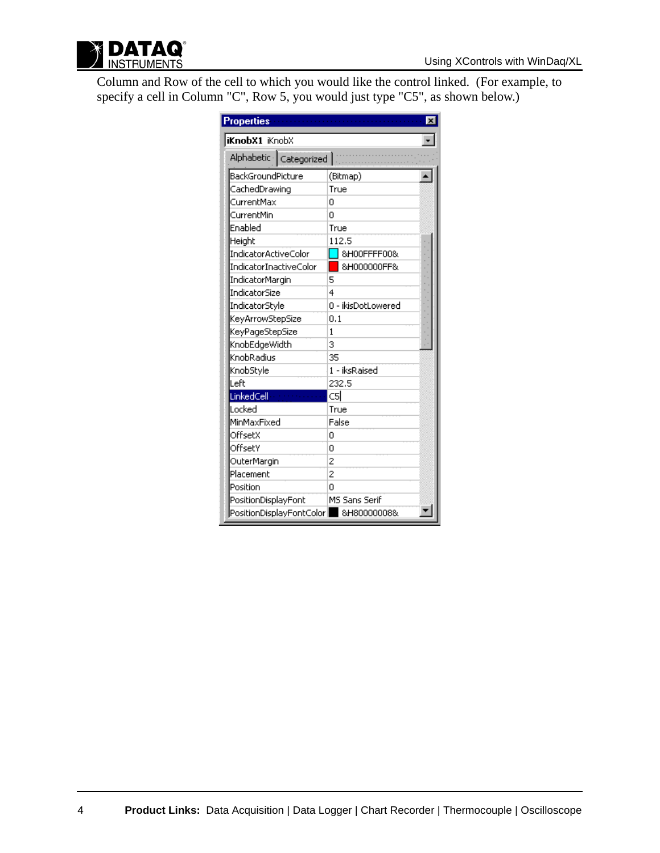

Column and Row of the cell to which you would like the control linked. (For example, to specify a cell in Column "C", Row 5, you would just type "C5", as shown below.)

| <b>Properties</b>                      |                    |  |  |  |  |  |
|----------------------------------------|--------------------|--|--|--|--|--|
| <b>iKnobX1</b> iKnobX                  |                    |  |  |  |  |  |
| Alphabetic   Categorized   [           |                    |  |  |  |  |  |
| BackGroundPicture                      | (Bitmap)           |  |  |  |  |  |
| CachedDrawing                          | True               |  |  |  |  |  |
| CurrentMax                             | Ω                  |  |  |  |  |  |
| CurrentMin                             | Ū                  |  |  |  |  |  |
| Enabled                                | True               |  |  |  |  |  |
| Height                                 | 112.5              |  |  |  |  |  |
| IndicatorActiveColor                   | &HOOFFFF00&        |  |  |  |  |  |
| IndicatorInactiveColor                 | &H000000FF&        |  |  |  |  |  |
| IndicatorMargin                        | 5                  |  |  |  |  |  |
| IndicatorSize                          | 4                  |  |  |  |  |  |
| IndicatorStyle                         | 0 - ikisDotLowered |  |  |  |  |  |
| KeyArrowStepSize                       | 0.1                |  |  |  |  |  |
| KeyPageStepSize                        | 1                  |  |  |  |  |  |
| KnobEdgeWidth                          | 3                  |  |  |  |  |  |
| KnobRadius                             | 35                 |  |  |  |  |  |
| KnobStyle                              | 1 - iksRaised      |  |  |  |  |  |
| Left                                   | 232.5              |  |  |  |  |  |
| LinkedCell                             | csl                |  |  |  |  |  |
| Locked                                 | True               |  |  |  |  |  |
| MinMaxFixed                            | False              |  |  |  |  |  |
| OffsetX                                | n                  |  |  |  |  |  |
| OffsetY                                | Ω                  |  |  |  |  |  |
| OuterMargin                            | 2                  |  |  |  |  |  |
| Placement                              | $\overline{c}$     |  |  |  |  |  |
| Position                               | O                  |  |  |  |  |  |
| PositionDisplayFont                    | MS Sans Serif      |  |  |  |  |  |
| PositionDisplayFontColor   8H80000008& |                    |  |  |  |  |  |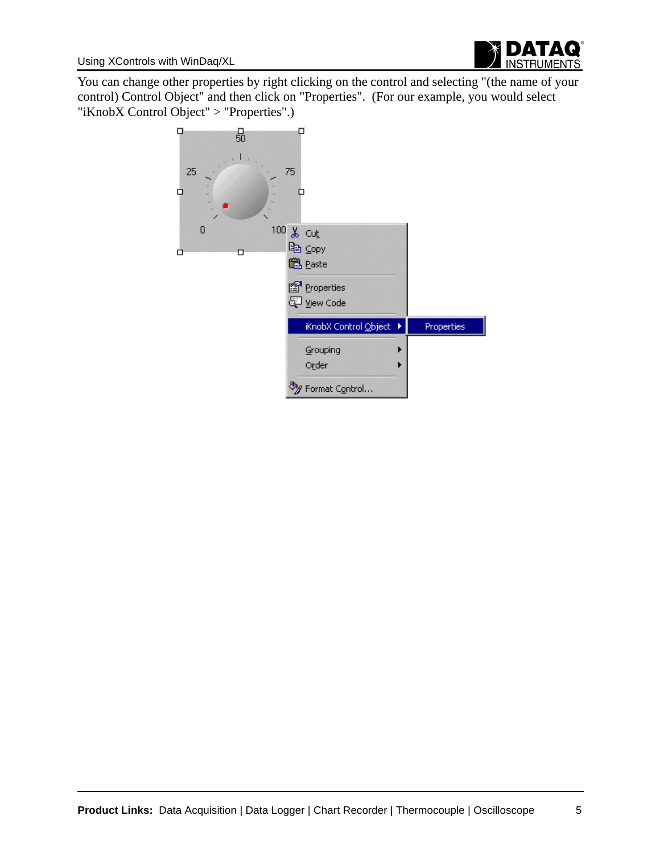

You can change other properties by right clicking on the control and selecting "(the name of your control) Control Object" and then click on "Properties". (For our example, you would select "iKnobX Control Object" > "Properties".)